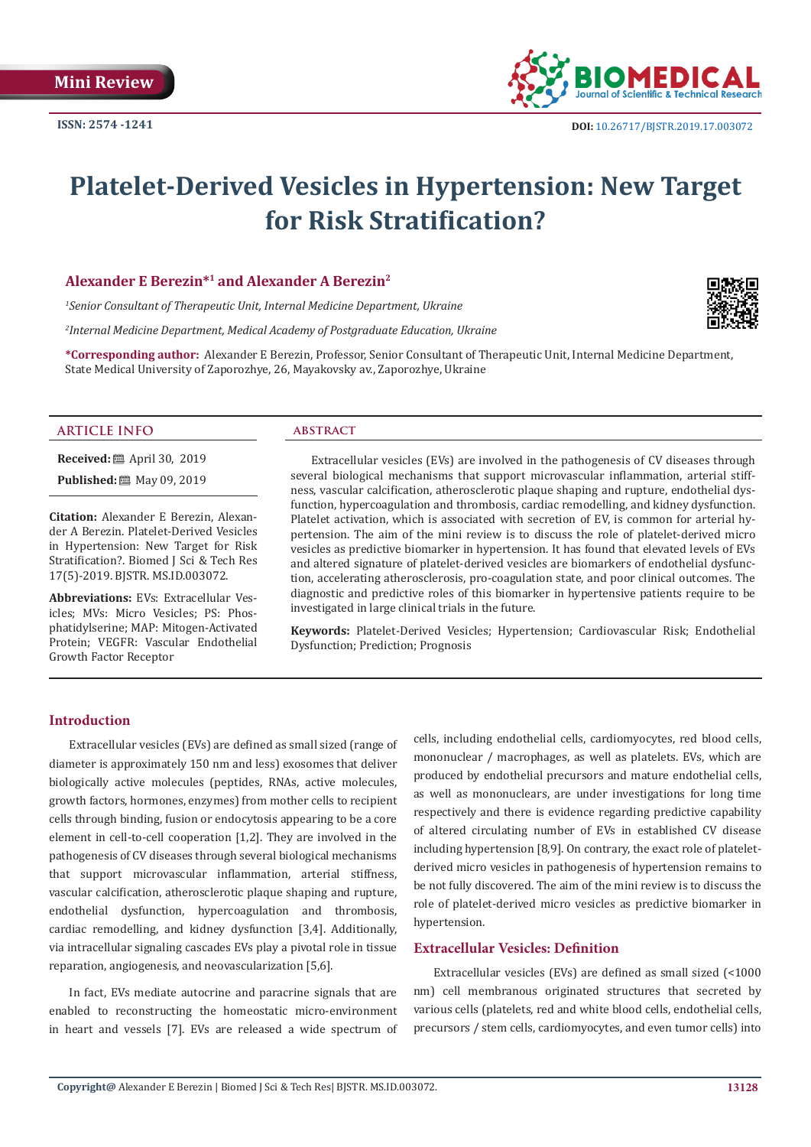

# **Platelet-Derived Vesicles in Hypertension: New Target for Risk Stratification?**

## **Alexander E Berezin\*1 and Alexander A Berezin2**

*1 Senior Consultant of Therapeutic Unit, Internal Medicine Department, Ukraine*

*2 Internal Medicine Department, Medical Academy of Postgraduate Education, Ukraine*

**\*Corresponding author:** Alexander E Berezin, Professor, Senior Consultant of Therapeutic Unit, Internal Medicine Department, State Medical University of Zaporozhye, 26, Mayakovsky av., Zaporozhye, Ukraine



**Received:** April 30, 2019

**Published:** 圖 May 09, 2019

**Citation:** Alexander E Berezin, Alexander A Berezin. Platelet-Derived Vesicles in Hypertension: New Target for Risk Stratification?. Biomed J Sci & Tech Res 17(5)-2019. BJSTR. MS.ID.003072.

**Abbreviations:** EVs: Extracellular Vesicles; MVs: Micro Vesicles; PS: Phosphatidylserine; MAP: Mitogen-Activated Protein; VEGFR: Vascular Endothelial Growth Factor Receptor

Extracellular vesicles (EVs) are involved in the pathogenesis of CV diseases through several biological mechanisms that support microvascular inflammation, arterial stiffness, vascular calcification, atherosclerotic plaque shaping and rupture, endothelial dysfunction, hypercoagulation and thrombosis, cardiac remodelling, and kidney dysfunction. Platelet activation, which is associated with secretion of EV, is common for arterial hypertension. The aim of the mini review is to discuss the role of platelet-derived micro vesicles as predictive biomarker in hypertension. It has found that elevated levels of EVs and altered signature of platelet-derived vesicles are biomarkers of endothelial dysfunction, accelerating atherosclerosis, pro-coagulation state, and poor clinical outcomes. The diagnostic and predictive roles of this biomarker in hypertensive patients require to be investigated in large clinical trials in the future.

**Keywords:** Platelet-Derived Vesicles; Hypertension; Cardiovascular Risk; Endothelial Dysfunction; Prediction; Prognosis

#### **Introduction**

Extracellular vesicles (EVs) are defined as small sized (range of diameter is approximately 150 nm and less) exosomes that deliver biologically active molecules (peptides, RNAs, active molecules, growth factors, hormones, enzymes) from mother cells to recipient cells through binding, fusion or endocytosis appearing to be a core element in cell-to-cell cooperation [1,2]. They are involved in the pathogenesis of CV diseases through several biological mechanisms that support microvascular inflammation, arterial stiffness, vascular calcification, atherosclerotic plaque shaping and rupture, endothelial dysfunction, hypercoagulation and thrombosis, cardiac remodelling, and kidney dysfunction [3,4]. Additionally, via intracellular signaling cascades EVs play a pivotal role in tissue reparation, angiogenesis, and neovascularization [5,6].

In fact, EVs mediate autocrine and paracrine signals that are enabled to reconstructing the homeostatic micro-environment in heart and vessels [7]. EVs are released a wide spectrum of cells, including endothelial cells, cardiomyocytes, red blood cells, mononuclear / macrophages, as well as platelets. EVs, which are produced by endothelial precursors and mature endothelial cells, as well as mononuclears, are under investigations for long time respectively and there is evidence regarding predictive capability of altered circulating number of EVs in established CV disease including hypertension [8,9]. On contrary, the exact role of plateletderived micro vesicles in pathogenesis of hypertension remains to be not fully discovered. The aim of the mini review is to discuss the role of platelet-derived micro vesicles as predictive biomarker in hypertension.

## **Extracellular Vesicles: Definition**

Extracellular vesicles (EVs) are defined as small sized (<1000 nm) cell membranous originated structures that secreted by various cells (platelets, red and white blood cells, endothelial cells, precursors / stem cells, cardiomyocytes, and even tumor cells) into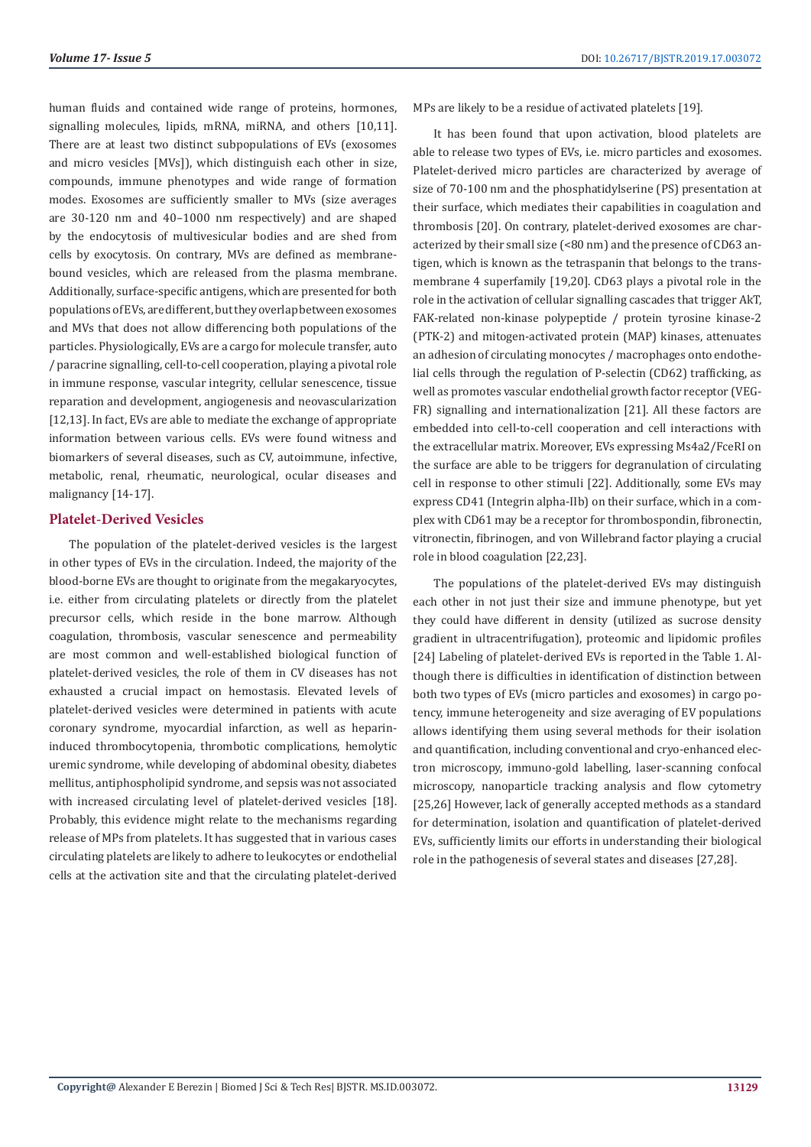human fluids and contained wide range of proteins, hormones, signalling molecules, lipids, mRNA, miRNA, and others [10,11]. There are at least two distinct subpopulations of EVs (exosomes and micro vesicles [MVs]), which distinguish each other in size, compounds, immune phenotypes and wide range of formation modes. Exosomes are sufficiently smaller to MVs (size averages are 30-120 nm and 40–1000 nm respectively) and are shaped by the endocytosis of multivesicular bodies and are shed from cells by exocytosis. On contrary, MVs are defined as membranebound vesicles, which are released from the plasma membrane. Additionally, surface-specific antigens, which are presented for both populations of EVs, are different, but they overlap between exosomes and MVs that does not allow differencing both populations of the particles. Physiologically, EVs are a cargo for molecule transfer, auto / paracrine signalling, cell-to-cell cooperation, playing a pivotal role in immune response, vascular integrity, cellular senescence, tissue reparation and development, angiogenesis and neovascularization [12,13]. In fact, EVs are able to mediate the exchange of appropriate information between various cells. EVs were found witness and biomarkers of several diseases, such as CV, autoimmune, infective, metabolic, renal, rheumatic, neurological, ocular diseases and malignancy [14-17].

#### **Platelet-Derived Vesicles**

The population of the platelet-derived vesicles is the largest in other types of EVs in the circulation. Indeed, the majority of the blood-borne EVs are thought to originate from the megakaryocytes, i.e. either from circulating platelets or directly from the platelet precursor cells, which reside in the bone marrow. Although coagulation, thrombosis, vascular senescence and permeability are most common and well-established biological function of platelet-derived vesicles, the role of them in CV diseases has not exhausted a crucial impact on hemostasis. Elevated levels of platelet-derived vesicles were determined in patients with acute coronary syndrome, myocardial infarction, as well as heparininduced thrombocytopenia, thrombotic complications, hemolytic uremic syndrome, while developing of abdominal obesity, diabetes mellitus, antiphospholipid syndrome, and sepsis was not associated with increased circulating level of platelet-derived vesicles [18]. Probably, this evidence might relate to the mechanisms regarding release of MPs from platelets. It has suggested that in various cases circulating platelets are likely to adhere to leukocytes or endothelial cells at the activation site and that the circulating platelet-derived

MPs are likely to be a residue of activated platelets [19].

It has been found that upon activation, blood platelets are able to release two types of EVs, i.e. micro particles and exosomes. Platelet-derived micro particles are characterized by average of size of 70-100 nm and the phosphatidylserine (PS) presentation at their surface, which mediates their capabilities in coagulation and thrombosis [20]. On contrary, platelet-derived exosomes are characterized by their small size (<80 nm) and the presence of CD63 antigen, which is known as the tetraspanin that belongs to the transmembrane 4 superfamily [19,20]. CD63 plays a pivotal role in the role in the activation of cellular signalling cascades that trigger AkT, FAK-related non-kinase polypeptide / protein tyrosine kinase-2 (PTK-2) and mitogen-activated protein (MAP) kinases, attenuates an adhesion of circulating monocytes / macrophages onto endothelial cells through the regulation of P-selectin (CD62) trafficking, as well as promotes vascular endothelial growth factor receptor (VEG-FR) signalling and internationalization [21]. All these factors are embedded into cell-to-cell cooperation and cell interactions with the extracellular matrix. Moreover, EVs expressing Ms4a2/FceRI on the surface are able to be triggers for degranulation of circulating cell in response to other stimuli [22]. Additionally, some EVs may express CD41 (Integrin alpha-IIb) on their surface, which in a complex with CD61 may be a receptor for thrombospondin, fibronectin, vitronectin, fibrinogen, and von Willebrand factor playing a crucial role in blood coagulation [22,23].

The populations of the platelet-derived EVs may distinguish each other in not just their size and immune phenotype, but yet they could have different in density (utilized as sucrose density gradient in ultracentrifugation), proteomic and lipidomic profiles [24] Labeling of platelet-derived EVs is reported in the Table 1. Although there is difficulties in identification of distinction between both two types of EVs (micro particles and exosomes) in cargo potency, immune heterogeneity and size averaging of EV populations allows identifying them using several methods for their isolation and quantification, including conventional and cryo-enhanced electron microscopy, immuno-gold labelling, laser-scanning confocal microscopy, nanoparticle tracking analysis and flow cytometry [25,26] However, lack of generally accepted methods as a standard for determination, isolation and quantification of platelet-derived EVs, sufficiently limits our efforts in understanding their biological role in the pathogenesis of several states and diseases [27,28].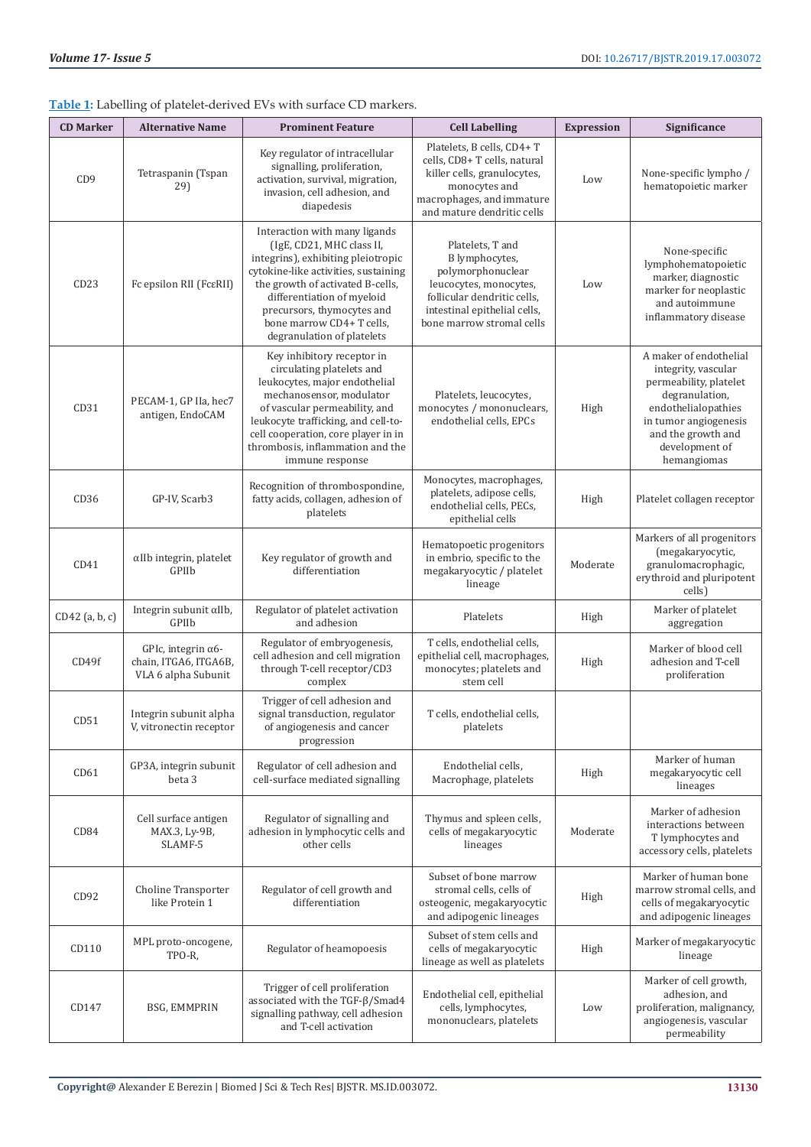|                  |                                                                            | <b>Table 1.</b> Labeling of platelet-defived EVS with surface CD markets.                                                                                                                                                                                                                           |                                                                                                                                                                               |                   |                                                                                                                                                                                                  |
|------------------|----------------------------------------------------------------------------|-----------------------------------------------------------------------------------------------------------------------------------------------------------------------------------------------------------------------------------------------------------------------------------------------------|-------------------------------------------------------------------------------------------------------------------------------------------------------------------------------|-------------------|--------------------------------------------------------------------------------------------------------------------------------------------------------------------------------------------------|
| <b>CD Marker</b> | <b>Alternative Name</b>                                                    | <b>Prominent Feature</b>                                                                                                                                                                                                                                                                            | <b>Cell Labelling</b>                                                                                                                                                         | <b>Expression</b> | Significance                                                                                                                                                                                     |
| CD <sub>9</sub>  | Tetraspanin (Tspan<br>29)                                                  | Key regulator of intracellular<br>signalling, proliferation,<br>activation, survival, migration,<br>invasion, cell adhesion, and<br>diapedesis                                                                                                                                                      | Platelets, B cells, CD4+T<br>cells, CD8+ T cells, natural<br>killer cells, granulocytes,<br>monocytes and<br>macrophages, and immature<br>and mature dendritic cells          | Low               | None-specific lympho /<br>hematopoietic marker                                                                                                                                                   |
| CD23             | Fc epsilon RII (Fc ERII)                                                   | Interaction with many ligands<br>(IgE, CD21, MHC class II,<br>integrins), exhibiting pleiotropic<br>cytokine-like activities, sustaining<br>the growth of activated B-cells,<br>differentiation of myeloid<br>precursors, thymocytes and<br>bone marrow CD4+ T cells,<br>degranulation of platelets | Platelets, T and<br>B lymphocytes,<br>polymorphonuclear<br>leucocytes, monocytes,<br>follicular dendritic cells,<br>intestinal epithelial cells,<br>bone marrow stromal cells | Low               | None-specific<br>lymphohematopoietic<br>marker, diagnostic<br>marker for neoplastic<br>and autoimmune<br>inflammatory disease                                                                    |
| CD31             | PECAM-1, GP IIa, hec7<br>antigen, EndoCAM                                  | Key inhibitory receptor in<br>circulating platelets and<br>leukocytes, major endothelial<br>mechanosensor, modulator<br>of vascular permeability, and<br>leukocyte trafficking, and cell-to-<br>cell cooperation, core player in in<br>thrombosis, inflammation and the<br>immune response          | Platelets, leucocytes,<br>monocytes / mononuclears,<br>endothelial cells. EPCs                                                                                                | High              | A maker of endothelial<br>integrity, vascular<br>permeability, platelet<br>degranulation,<br>endothelialopathies<br>in tumor angiogenesis<br>and the growth and<br>development of<br>hemangiomas |
| CD36             | GP-IV, Scarb3                                                              | Recognition of thrombospondine,<br>fatty acids, collagen, adhesion of<br>platelets                                                                                                                                                                                                                  | Monocytes, macrophages,<br>platelets, adipose cells,<br>endothelial cells, PECs,<br>epithelial cells                                                                          | High              | Platelet collagen receptor                                                                                                                                                                       |
| CD41             | αIIb integrin, platelet<br>GPIIb                                           | Key regulator of growth and<br>differentiation                                                                                                                                                                                                                                                      | Hematopoetic progenitors<br>in embrio, specific to the<br>megakaryocytic / platelet<br>lineage                                                                                | Moderate          | Markers of all progenitors<br>(megakaryocytic,<br>granulomacrophagic,<br>erythroid and pluripotent<br>cells)                                                                                     |
| CD42 (a, b, c)   | Integrin subunit αIIb,<br>GPIIb                                            | Regulator of platelet activation<br>and adhesion                                                                                                                                                                                                                                                    | Platelets                                                                                                                                                                     | High              | Marker of platelet<br>aggregation                                                                                                                                                                |
| CD49f            | GPIc, integrin $\alpha$ 6-<br>chain, ITGA6, ITGA6B,<br>VLA 6 alpha Subunit | Regulator of embryogenesis,<br>cell adhesion and cell migration<br>through T-cell receptor/CD3<br>complex                                                                                                                                                                                           | T cells, endothelial cells,<br>epithelial cell, macrophages,<br>monocytes; platelets and<br>stem cell                                                                         | High              | Marker of blood cell<br>adhesion and T-cell<br>proliferation                                                                                                                                     |
| CD51             | Integrin subunit alpha<br>V, vitronectin receptor                          | Trigger of cell adhesion and<br>signal transduction, regulator<br>of angiogenesis and cancer<br>progression                                                                                                                                                                                         | T cells, endothelial cells.<br>platelets                                                                                                                                      |                   |                                                                                                                                                                                                  |
| CD61             | GP3A, integrin subunit<br>beta 3                                           | Regulator of cell adhesion and<br>cell-surface mediated signalling                                                                                                                                                                                                                                  | Endothelial cells,<br>Macrophage, platelets                                                                                                                                   | High              | Marker of human<br>megakaryocytic cell<br>lineages                                                                                                                                               |
| CD <sub>84</sub> | Cell surface antigen<br>MAX.3, Ly-9B,<br>SLAMF-5                           | Regulator of signalling and<br>adhesion in lymphocytic cells and<br>other cells                                                                                                                                                                                                                     | Thymus and spleen cells,<br>cells of megakaryocytic<br>lineages                                                                                                               | Moderate          | Marker of adhesion<br>interactions between<br>T lymphocytes and<br>accessory cells, platelets                                                                                                    |
| CD92             | Choline Transporter<br>like Protein 1                                      | Regulator of cell growth and<br>differentiation                                                                                                                                                                                                                                                     | Subset of bone marrow<br>stromal cells, cells of<br>osteogenic, megakaryocytic<br>and adipogenic lineages                                                                     | High              | Marker of human bone<br>marrow stromal cells, and<br>cells of megakaryocytic<br>and adipogenic lineages                                                                                          |
| CD110            | MPL proto-oncogene,<br>TPO-R,                                              | Regulator of heamopoesis                                                                                                                                                                                                                                                                            | Subset of stem cells and<br>cells of megakaryocytic<br>lineage as well as platelets                                                                                           | High              | Marker of megakaryocytic<br>lineage                                                                                                                                                              |
| CD147            | BSG, EMMPRIN                                                               | Trigger of cell proliferation<br>associated with the TGF- $\beta$ /Smad4<br>signalling pathway, cell adhesion<br>and T-cell activation                                                                                                                                                              | Endothelial cell, epithelial<br>cells, lymphocytes,<br>mononuclears, platelets                                                                                                | Low               | Marker of cell growth,<br>adhesion, and<br>proliferation, malignancy,<br>angiogenesis, vascular<br>permeability                                                                                  |

**Table 1:** Labelling of platelet-derived EVs with surface CD markers.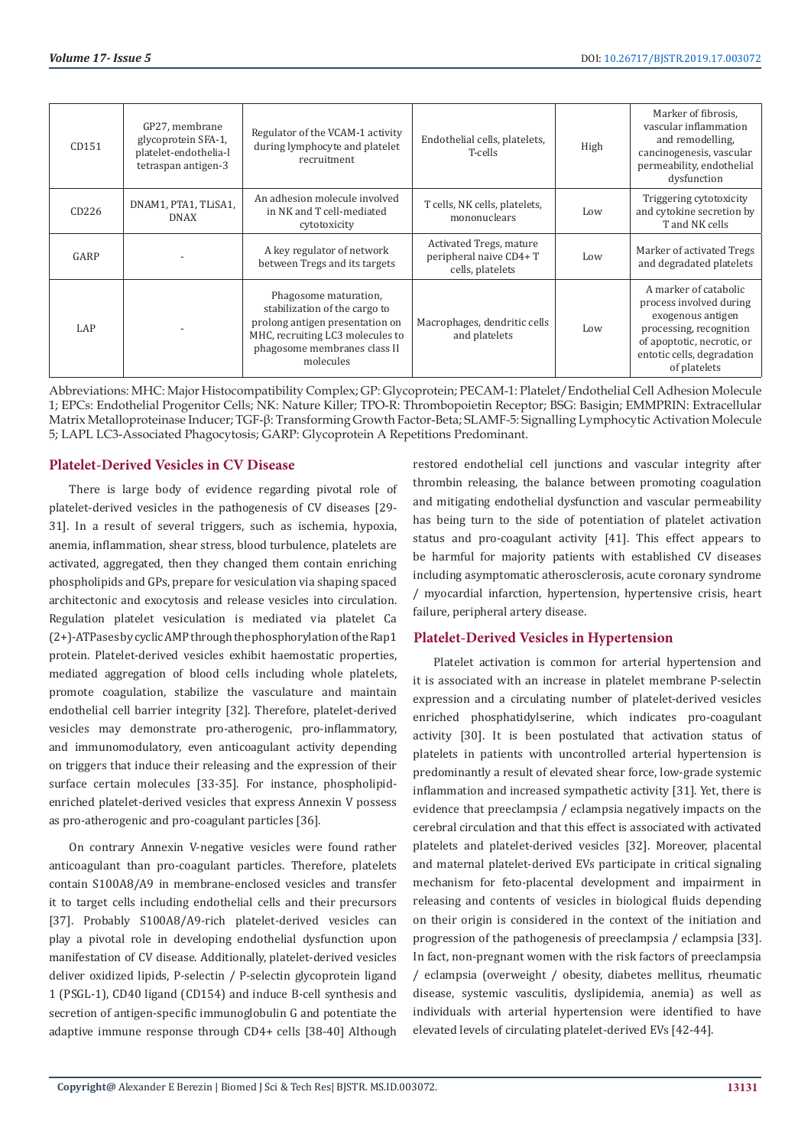| CD151      | GP27, membrane<br>glycoprotein SFA-1,<br>platelet-endothelia-l<br>tetraspan antigen-3 | Regulator of the VCAM-1 activity<br>during lymphocyte and platelet<br>recruitment                                                                                          | Endothelial cells, platelets,<br>T-cells                               | High | Marker of fibrosis,<br>vascular inflammation<br>and remodelling,<br>cancinogenesis, vascular<br>permeability, endothelial<br>dysfunction                                     |
|------------|---------------------------------------------------------------------------------------|----------------------------------------------------------------------------------------------------------------------------------------------------------------------------|------------------------------------------------------------------------|------|------------------------------------------------------------------------------------------------------------------------------------------------------------------------------|
| CD226      | DNAM1, PTA1, TLISA1,<br><b>DNAX</b>                                                   | An adhesion molecule involved<br>in NK and T cell-mediated<br>cytotoxicity                                                                                                 | T cells, NK cells, platelets,<br>mononuclears                          | Low  | Triggering cytotoxicity<br>and cytokine secretion by<br>T and NK cells                                                                                                       |
| GARP       |                                                                                       | A key regulator of network<br>between Tregs and its targets                                                                                                                | Activated Tregs, mature<br>peripheral naive CD4+ T<br>cells, platelets | Low  | Marker of activated Tregs<br>and degradated platelets                                                                                                                        |
| <b>LAP</b> |                                                                                       | Phagosome maturation,<br>stabilization of the cargo to<br>prolong antigen presentation on<br>MHC, recruiting LC3 molecules to<br>phagosome membranes class II<br>molecules | Macrophages, dendritic cells<br>and platelets                          | Low  | A marker of catabolic<br>process involved during<br>exogenous antigen<br>processing, recognition<br>of apoptotic, necrotic, or<br>entotic cells, degradation<br>of platelets |

Abbreviations: MHC: Major Histocompatibility Complex; GP: Glycoprotein; PECAM-1: Platelet/Endothelial Cell Adhesion Molecule 1; EPCs: Endothelial Progenitor Cells; NK: Nature Killer; TPO-R: Thrombopoietin Receptor; BSG: Basigin; EMMPRIN: Extracellular Matrix Metalloproteinase Inducer; TGF-β: Transforming Growth Factor-Beta; SLAMF-5: Signalling Lymphocytic Activation Molecule 5; LAPL LC3-Associated Phagocytosis; GARP: Glycoprotein A Repetitions Predominant.

# **Platelet-Derived Vesicles in CV Disease**

There is large body of evidence regarding pivotal role of platelet-derived vesicles in the pathogenesis of CV diseases [29- 31]. In a result of several triggers, such as ischemia, hypoxia, anemia, inflammation, shear stress, blood turbulence, platelets are activated, aggregated, then they changed them contain enriching phospholipids and GPs, prepare for vesiculation via shaping spaced architectonic and exocytosis and release vesicles into circulation. Regulation platelet vesiculation is mediated via platelet Ca (2+)-ATPases by cyclic AMP through the phosphorylation of the Rap1 protein. Platelet-derived vesicles exhibit haemostatic properties, mediated aggregation of blood cells including whole platelets, promote coagulation, stabilize the vasculature and maintain endothelial cell barrier integrity [32]. Therefore, platelet-derived vesicles may demonstrate pro-atherogenic, pro-inflammatory, and immunomodulatory, even anticoagulant activity depending on triggers that induce their releasing and the expression of their surface certain molecules [33-35]. For instance, phospholipidenriched platelet-derived vesicles that express Annexin V possess as pro-atherogenic and pro-coagulant particles [36].

On contrary Annexin V-negative vesicles were found rather anticoagulant than pro-coagulant particles. Therefore, platelets contain S100A8/A9 in membrane-enclosed vesicles and transfer it to target cells including endothelial cells and their precursors [37]. Probably S100A8/A9-rich platelet-derived vesicles can play a pivotal role in developing endothelial dysfunction upon manifestation of CV disease. Additionally, platelet-derived vesicles deliver oxidized lipids, P-selectin / P-selectin glycoprotein ligand 1 (PSGL-1), CD40 ligand (CD154) and induce B-cell synthesis and secretion of antigen-specific immunoglobulin G and potentiate the adaptive immune response through CD4+ cells [38-40] Although

restored endothelial cell junctions and vascular integrity after thrombin releasing, the balance between promoting coagulation and mitigating endothelial dysfunction and vascular permeability has being turn to the side of potentiation of platelet activation status and pro-coagulant activity [41]. This effect appears to be harmful for majority patients with established CV diseases including asymptomatic atherosclerosis, acute coronary syndrome / myocardial infarction, hypertension, hypertensive crisis, heart failure, peripheral artery disease.

#### **Platelet-Derived Vesicles in Hypertension**

Platelet activation is common for arterial hypertension and it is associated with an increase in platelet membrane P-selectin expression and a circulating number of platelet-derived vesicles enriched phosphatidylserine, which indicates pro-coagulant activity [30]. It is been postulated that activation status of platelets in patients with uncontrolled arterial hypertension is predominantly a result of elevated shear force, low-grade systemic inflammation and increased sympathetic activity [31]. Yet, there is evidence that preeclampsia / eclampsia negatively impacts on the cerebral circulation and that this effect is associated with activated platelets and platelet-derived vesicles [32]. Moreover, placental and maternal platelet-derived EVs participate in critical signaling mechanism for feto-placental development and impairment in releasing and contents of vesicles in biological fluids depending on their origin is considered in the context of the initiation and progression of the pathogenesis of preeclampsia / eclampsia [33]. In fact, non-pregnant women with the risk factors of preeclampsia / eclampsia (overweight / obesity, diabetes mellitus, rheumatic disease, systemic vasculitis, dyslipidemia, anemia) as well as individuals with arterial hypertension were identified to have elevated levels of circulating platelet-derived EVs [42-44].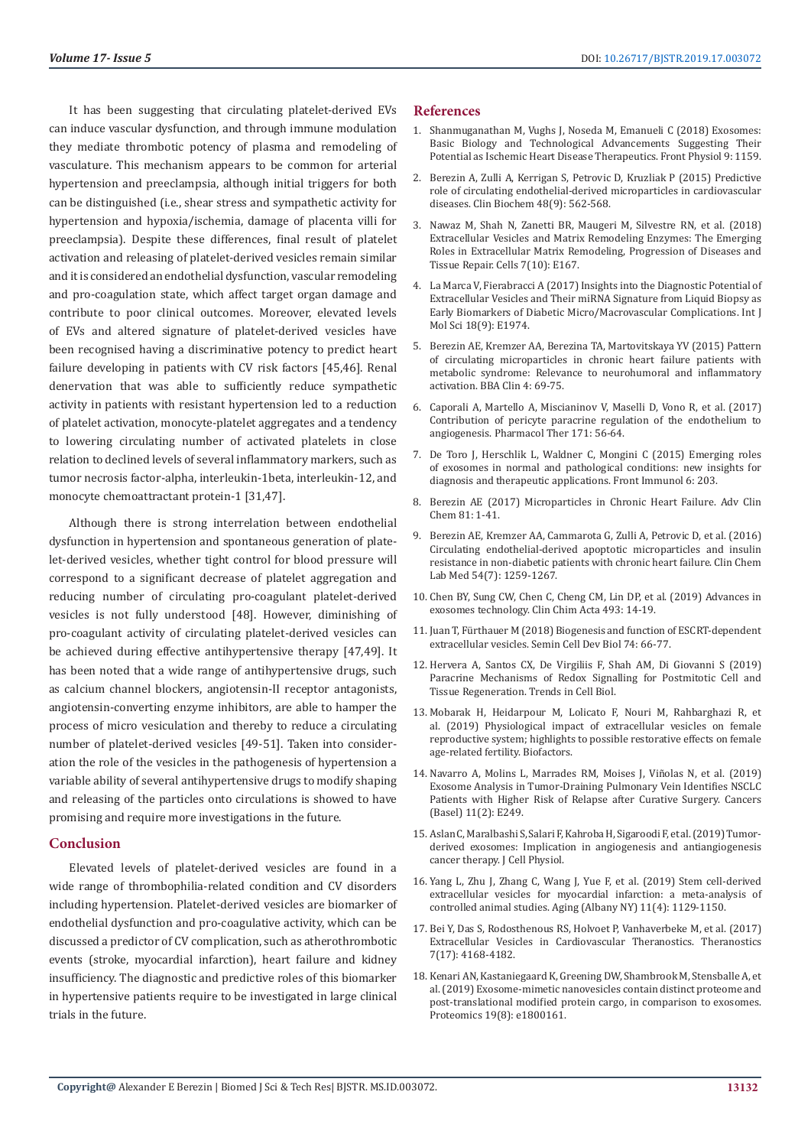It has been suggesting that circulating platelet-derived EVs can induce vascular dysfunction, and through immune modulation they mediate thrombotic potency of plasma and remodeling of vasculature. This mechanism appears to be common for arterial hypertension and preeclampsia, although initial triggers for both can be distinguished (i.e., shear stress and sympathetic activity for hypertension and hypoxia/ischemia, damage of placenta villi for preeclampsia). Despite these differences, final result of platelet activation and releasing of platelet-derived vesicles remain similar and it is considered an endothelial dysfunction, vascular remodeling and pro-coagulation state, which affect target organ damage and contribute to poor clinical outcomes. Moreover, elevated levels of EVs and altered signature of platelet-derived vesicles have been recognised having a discriminative potency to predict heart failure developing in patients with CV risk factors [45,46]. Renal denervation that was able to sufficiently reduce sympathetic activity in patients with resistant hypertension led to a reduction of platelet activation, monocyte-platelet aggregates and a tendency to lowering circulating number of activated platelets in close relation to declined levels of several inflammatory markers, such as tumor necrosis factor-alpha, interleukin-1beta, interleukin-12, and monocyte chemoattractant protein-1 [31,47].

Although there is strong interrelation between endothelial dysfunction in hypertension and spontaneous generation of platelet-derived vesicles, whether tight control for blood pressure will correspond to a significant decrease of platelet aggregation and reducing number of circulating pro-coagulant platelet-derived vesicles is not fully understood [48]. However, diminishing of pro-coagulant activity of circulating platelet-derived vesicles can be achieved during effective antihypertensive therapy [47,49]. It has been noted that a wide range of antihypertensive drugs, such as calcium channel blockers, angiotensin-II receptor antagonists, angiotensin-converting enzyme inhibitors, are able to hamper the process of micro vesiculation and thereby to reduce a circulating number of platelet-derived vesicles [49-51]. Taken into consideration the role of the vesicles in the pathogenesis of hypertension a variable ability of several antihypertensive drugs to modify shaping and releasing of the particles onto circulations is showed to have promising and require more investigations in the future.

#### **Conclusion**

Elevated levels of platelet-derived vesicles are found in a wide range of thrombophilia-related condition and CV disorders including hypertension. Platelet-derived vesicles are biomarker of endothelial dysfunction and pro-coagulative activity, which can be discussed a predictor of CV complication, such as atherothrombotic events (stroke, myocardial infarction), heart failure and kidney insufficiency. The diagnostic and predictive roles of this biomarker in hypertensive patients require to be investigated in large clinical trials in the future.

#### **References**

- 1. [Shanmuganathan M, Vughs J, Noseda M, Emanueli C \(2018\) Exosomes:](https://www.ncbi.nlm.nih.gov/pubmed/30524292) [Basic Biology and Technological Advancements Suggesting Their](https://www.ncbi.nlm.nih.gov/pubmed/30524292) [Potential as Ischemic Heart Disease Therapeutics. Front Physiol 9: 1159.](https://www.ncbi.nlm.nih.gov/pubmed/30524292)
- 2. [Berezin A, Zulli A, Kerrigan S, Petrovic D, Kruzliak P \(2015\) Predictive](https://www.ncbi.nlm.nih.gov/pubmed/25697107) [role of circulating endothelial-derived microparticles in cardiovascular](https://www.ncbi.nlm.nih.gov/pubmed/25697107) [diseases. Clin Biochem 48\(9\): 562-568.](https://www.ncbi.nlm.nih.gov/pubmed/25697107)
- 3. [Nawaz M, Shah N, Zanetti BR, Maugeri M, Silvestre RN, et al. \(2018\)](https://www.ncbi.nlm.nih.gov/pubmed/30322133) [Extracellular Vesicles and Matrix Remodeling Enzymes: The Emerging](https://www.ncbi.nlm.nih.gov/pubmed/30322133) [Roles in Extracellular Matrix Remodeling, Progression of Diseases and](https://www.ncbi.nlm.nih.gov/pubmed/30322133) [Tissue Repair. Cells 7\(10\): E167.](https://www.ncbi.nlm.nih.gov/pubmed/30322133)
- 4. [La Marca V, Fierabracci A \(2017\) Insights into the Diagnostic Potential of](https://www.ncbi.nlm.nih.gov/pubmed/28906481) [Extracellular Vesicles and Their miRNA Signature from Liquid Biopsy as](https://www.ncbi.nlm.nih.gov/pubmed/28906481) [Early Biomarkers of Diabetic Micro/Macrovascular Complications. Int J](https://www.ncbi.nlm.nih.gov/pubmed/28906481) [Mol Sci 18\(9\): E1974.](https://www.ncbi.nlm.nih.gov/pubmed/28906481)
- 5. [Berezin AE, Kremzer AA, Berezina TA, Martovitskaya YV \(2015\) Pattern](https://www.ncbi.nlm.nih.gov/pmc/articles/PMC4661711/) [of circulating microparticles in chronic heart failure patients with](https://www.ncbi.nlm.nih.gov/pmc/articles/PMC4661711/) [metabolic syndrome: Relevance to neurohumoral and inflammatory](https://www.ncbi.nlm.nih.gov/pmc/articles/PMC4661711/) [activation. BBA Clin 4: 69-75.](https://www.ncbi.nlm.nih.gov/pmc/articles/PMC4661711/)
- 6. [Caporali A, Martello A, Miscianinov V, Maselli D, Vono R, et al. \(2017\)](https://www.ncbi.nlm.nih.gov/pubmed/27742570) [Contribution of pericyte paracrine regulation of the endothelium to](https://www.ncbi.nlm.nih.gov/pubmed/27742570) [angiogenesis. Pharmacol Ther 171: 56-64.](https://www.ncbi.nlm.nih.gov/pubmed/27742570)
- 7. [De Toro J, Herschlik L, Waldner C, Mongini C \(2015\) Emerging roles](https://www.ncbi.nlm.nih.gov/pubmed/25999947) [of exosomes in normal and pathological conditions: new insights for](https://www.ncbi.nlm.nih.gov/pubmed/25999947) [diagnosis and therapeutic applications. Front Immunol 6: 203.](https://www.ncbi.nlm.nih.gov/pubmed/25999947)
- 8. [Berezin AE \(2017\) Microparticles in Chronic Heart Failure. Adv Clin](https://www.ncbi.nlm.nih.gov/pubmed/28629587) [Chem 81: 1-41.](https://www.ncbi.nlm.nih.gov/pubmed/28629587)
- 9. [Berezin AE, Kremzer AA, Cammarota G, Zulli A, Petrovic D, et al. \(2016\)](https://www.ncbi.nlm.nih.gov/pubmed/26656612) [Circulating endothelial-derived apoptotic microparticles and insulin](https://www.ncbi.nlm.nih.gov/pubmed/26656612) [resistance in non-diabetic patients with chronic heart failure. Clin Chem](https://www.ncbi.nlm.nih.gov/pubmed/26656612) [Lab Med 54\(7\): 1259-1267.](https://www.ncbi.nlm.nih.gov/pubmed/26656612)
- 10. [Chen BY, Sung CW, Chen C, Cheng CM, Lin DP, et al. \(2019\) Advances in](https://www.sciencedirect.com/science/article/pii/S000989811930083X) [exosomes technology. Clin Chim Acta 493: 14-19.](https://www.sciencedirect.com/science/article/pii/S000989811930083X)
- 11. [Juan T, Fürthauer M \(2018\) Biogenesis and function of ESCRT-dependent](https://www.ncbi.nlm.nih.gov/pubmed/28807885) [extracellular vesicles. Semin Cell Dev Biol 74: 66-77.](https://www.ncbi.nlm.nih.gov/pubmed/28807885)
- 12. Hervera A, Santos CX, De Virgiliis F, Shah AM, Di Giovanni S (2019) Paracrine Mechanisms of Redox Signalling for Postmitotic Cell and Tissue Regeneration. Trends in Cell Biol.
- 13. [Mobarak H, Heidarpour M, Lolicato F, Nouri M, Rahbarghazi R, et](https://www.researchgate.net/publication/330684748_Physiological_impact_of_extracellular_vesicles_on_female_reproductive_system_highlights_to_possible_restorative_effects_on_female_age-related_fertility) [al. \(2019\) Physiological impact of extracellular vesicles on female](https://www.researchgate.net/publication/330684748_Physiological_impact_of_extracellular_vesicles_on_female_reproductive_system_highlights_to_possible_restorative_effects_on_female_age-related_fertility) [reproductive system; highlights to possible restorative effects on female](https://www.researchgate.net/publication/330684748_Physiological_impact_of_extracellular_vesicles_on_female_reproductive_system_highlights_to_possible_restorative_effects_on_female_age-related_fertility) [age-related fertility. Biofactors.](https://www.researchgate.net/publication/330684748_Physiological_impact_of_extracellular_vesicles_on_female_reproductive_system_highlights_to_possible_restorative_effects_on_female_age-related_fertility)
- 14. [Navarro A, Molins L, Marrades RM, Moises J, Viñolas N, et al. \(2019\)](https://www.ncbi.nlm.nih.gov/pubmed/30795562) [Exosome Analysis in Tumor-Draining Pulmonary Vein Identifies NSCLC](https://www.ncbi.nlm.nih.gov/pubmed/30795562) [Patients with Higher Risk of Relapse after Curative Surgery. Cancers](https://www.ncbi.nlm.nih.gov/pubmed/30795562) [\(Basel\) 11\(2\): E249.](https://www.ncbi.nlm.nih.gov/pubmed/30795562)
- 15. [Aslan C, Maralbashi S, Salari F, Kahroba H, Sigaroodi F, et al. \(2019\) Tumor](https://www.ncbi.nlm.nih.gov/pubmed/30793767)[derived exosomes: Implication in angiogenesis and antiangiogenesis](https://www.ncbi.nlm.nih.gov/pubmed/30793767) [cancer therapy. J Cell Physiol.](https://www.ncbi.nlm.nih.gov/pubmed/30793767)
- 16. [Yang L, Zhu J, Zhang C, Wang J, Yue F, et al. \(2019\) Stem cell-derived](https://www.ncbi.nlm.nih.gov/pmc/articles/PMC6402509/) [extracellular vesicles for myocardial infarction: a meta-analysis of](https://www.ncbi.nlm.nih.gov/pmc/articles/PMC6402509/) [controlled animal studies. Aging \(Albany NY\) 11\(4\): 1129-1150.](https://www.ncbi.nlm.nih.gov/pmc/articles/PMC6402509/)
- 17. [Bei Y, Das S, Rodosthenous RS, Holvoet P, Vanhaverbeke M, et al. \(2017\)](https://www.ncbi.nlm.nih.gov/pmc/articles/PMC5695004/) [Extracellular Vesicles in Cardiovascular Theranostics. Theranostics](https://www.ncbi.nlm.nih.gov/pmc/articles/PMC5695004/) [7\(17\): 4168-4182.](https://www.ncbi.nlm.nih.gov/pmc/articles/PMC5695004/)
- 18. [Kenari AN, Kastaniegaard K, Greening DW, Shambrook M, Stensballe A, et](https://www.ncbi.nlm.nih.gov/pubmed/30790448) [al. \(2019\) Exosome-mimetic nanovesicles contain distinct proteome and](https://www.ncbi.nlm.nih.gov/pubmed/30790448) [post-translational modified protein cargo, in comparison to exosomes.](https://www.ncbi.nlm.nih.gov/pubmed/30790448) [Proteomics 19\(8\): e1800161.](https://www.ncbi.nlm.nih.gov/pubmed/30790448)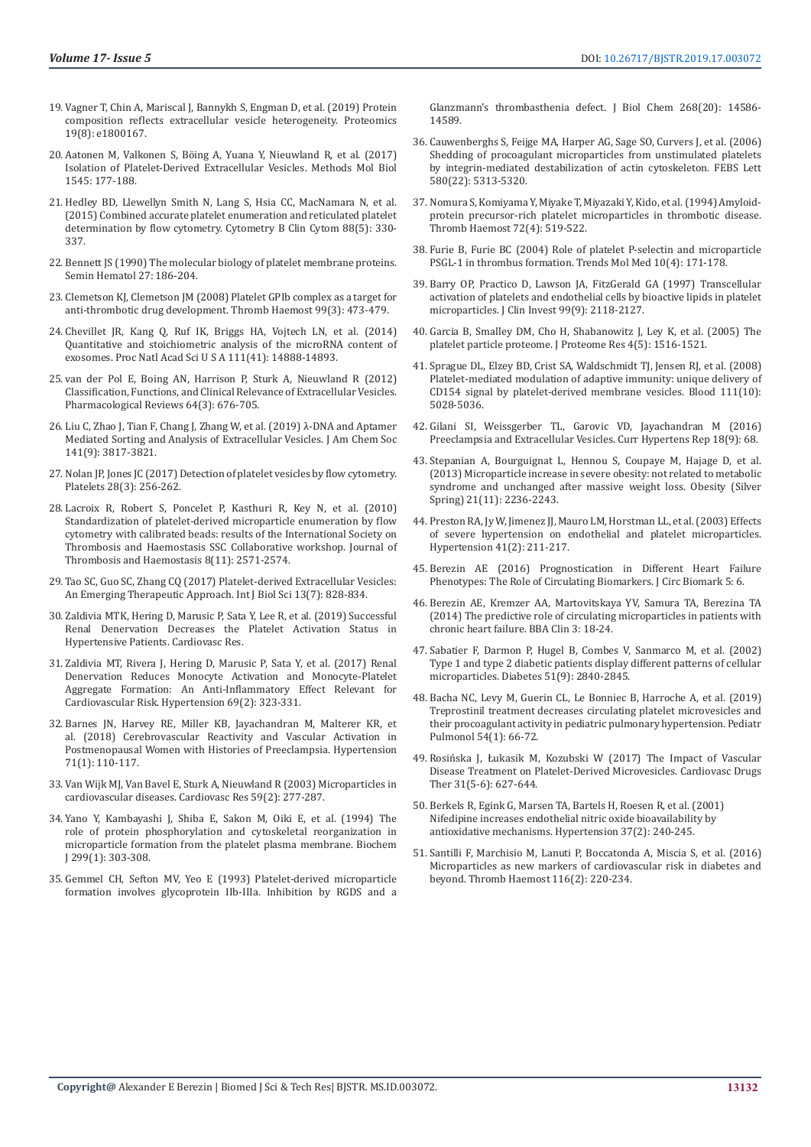- 19. [Vagner T, Chin A, Mariscal J, Bannykh S, Engman D, et al. \(2019\) Protein](https://onlinelibrary.wiley.com/doi/abs/10.1002/pmic.201800167)  [composition reflects extracellular vesicle heterogeneity. Proteomics](https://onlinelibrary.wiley.com/doi/abs/10.1002/pmic.201800167)  [19\(8\): e1800167.](https://onlinelibrary.wiley.com/doi/abs/10.1002/pmic.201800167)
- 20. [Aatonen M, Valkonen S, Böing A, Yuana Y, Nieuwland R, et al. \(2017\)](https://www.ncbi.nlm.nih.gov/pubmed/27943214)  [Isolation of Platelet-Derived Extracellular Vesicles. Methods Mol Biol](https://www.ncbi.nlm.nih.gov/pubmed/27943214)  [1545: 177-188.](https://www.ncbi.nlm.nih.gov/pubmed/27943214)
- 21. [Hedley BD, Llewellyn Smith N, Lang S, Hsia CC, MacNamara N, et al.](https://www.ncbi.nlm.nih.gov/pubmed/25851040)  [\(2015\) Combined accurate platelet enumeration and reticulated platelet](https://www.ncbi.nlm.nih.gov/pubmed/25851040)  [determination by flow cytometry. Cytometry B Clin Cytom 88\(5\): 330-](https://www.ncbi.nlm.nih.gov/pubmed/25851040) [337.](https://www.ncbi.nlm.nih.gov/pubmed/25851040)
- 22. [Bennett JS \(1990\) The molecular biology of platelet membrane proteins.](https://www.ncbi.nlm.nih.gov/pubmed/1693446)  [Semin Hematol 27: 186-204.](https://www.ncbi.nlm.nih.gov/pubmed/1693446)
- 23. [Clemetson KJ, Clemetson JM \(2008\) Platelet GPIb complex as a target for](https://www.ncbi.nlm.nih.gov/pubmed/18327394)  [anti-thrombotic drug development. Thromb Haemost 99\(3\): 473-479.](https://www.ncbi.nlm.nih.gov/pubmed/18327394)
- 24. [Chevillet JR, Kang Q, Ruf IK, Briggs HA, Vojtech LN, et al. \(2014\)](https://www.ncbi.nlm.nih.gov/pmc/articles/PMC4205618/)  [Quantitative and stoichiometric analysis of the microRNA content of](https://www.ncbi.nlm.nih.gov/pmc/articles/PMC4205618/)  [exosomes. Proc Natl Acad Sci U S A 111\(41\): 14888-14893.](https://www.ncbi.nlm.nih.gov/pmc/articles/PMC4205618/)
- 25. [van der Pol E, Boing AN, Harrison P, Sturk A, Nieuwland R \(2012\)](https://www.ncbi.nlm.nih.gov/pubmed/22722893)  [Classification, Functions, and Clinical Relevance of Extracellular Vesicles.](https://www.ncbi.nlm.nih.gov/pubmed/22722893)  [Pharmacological Reviews 64\(3\): 676-705.](https://www.ncbi.nlm.nih.gov/pubmed/22722893)
- 26. [Liu C, Zhao J, Tian F, Chang J, Zhang W, et al. \(2019\) λ-DNA and Aptamer](https://pubs.acs.org/doi/10.1021/jacs.9b00007)  [Mediated Sorting and Analysis of Extracellular Vesicles. J Am Chem Soc](https://pubs.acs.org/doi/10.1021/jacs.9b00007)  [141\(9\): 3817-3821.](https://pubs.acs.org/doi/10.1021/jacs.9b00007)
- 27. [Nolan JP, Jones JC \(2017\) Detection of platelet vesicles by flow cytometry.](https://www.ncbi.nlm.nih.gov/pubmed/28277059)  [Platelets 28\(3\): 256-262.](https://www.ncbi.nlm.nih.gov/pubmed/28277059)
- 28. [Lacroix R, Robert S, Poncelet P, Kasthuri R, Key N, et al. \(2010\)](https://www.ncbi.nlm.nih.gov/pubmed/20831623)  [Standardization of platelet-derived microparticle enumeration by flow](https://www.ncbi.nlm.nih.gov/pubmed/20831623)  [cytometry with calibrated beads: results of the International Society on](https://www.ncbi.nlm.nih.gov/pubmed/20831623)  [Thrombosis and Haemostasis SSC Collaborative workshop. Journal of](https://www.ncbi.nlm.nih.gov/pubmed/20831623)  [Thrombosis and Haemostasis 8\(11\): 2571-2574.](https://www.ncbi.nlm.nih.gov/pubmed/20831623)
- 29. [Tao SC, Guo SC, Zhang CQ \(2017\) Platelet-derived Extracellular Vesicles:](https://www.ncbi.nlm.nih.gov/pubmed/28808416)  [An Emerging Therapeutic Approach. Int J Biol Sci 13\(7\): 828-834.](https://www.ncbi.nlm.nih.gov/pubmed/28808416)
- 30. [Zaldivia MTK, Hering D, Marusic P, Sata Y, Lee R, et al. \(2019\) Successful](https://www.ncbi.nlm.nih.gov/pubmed/30715163)  [Renal Denervation Decreases the Platelet Activation Status in](https://www.ncbi.nlm.nih.gov/pubmed/30715163)  [Hypertensive Patients. Cardiovasc Res.](https://www.ncbi.nlm.nih.gov/pubmed/30715163)
- 31. [Zaldivia MT, Rivera J, Hering D, Marusic P, Sata Y, et al. \(2017\) Renal](https://www.ncbi.nlm.nih.gov/pubmed/27956575)  [Denervation Reduces Monocyte Activation and Monocyte-Platelet](https://www.ncbi.nlm.nih.gov/pubmed/27956575)  [Aggregate Formation: An Anti-Inflammatory Effect Relevant for](https://www.ncbi.nlm.nih.gov/pubmed/27956575)  [Cardiovascular Risk. Hypertension 69\(2\): 323-331.](https://www.ncbi.nlm.nih.gov/pubmed/27956575)
- 32. [Barnes JN, Harvey RE, Miller KB, Jayachandran M, Malterer KR, et](https://www.ncbi.nlm.nih.gov/pubmed/29158356)  [al. \(2018\) Cerebrovascular Reactivity and Vascular Activation in](https://www.ncbi.nlm.nih.gov/pubmed/29158356)  [Postmenopausal Women with Histories of Preeclampsia. Hypertension](https://www.ncbi.nlm.nih.gov/pubmed/29158356)  [71\(1\): 110-117.](https://www.ncbi.nlm.nih.gov/pubmed/29158356)
- 33. [Van Wijk MJ, Van Bavel E, Sturk A, Nieuwland R \(2003\) Microparticles in](https://www.ncbi.nlm.nih.gov/pubmed/12909311)  [cardiovascular diseases. Cardiovasc Res 59\(2\): 277-287.](https://www.ncbi.nlm.nih.gov/pubmed/12909311)
- 34. [Yano Y, Kambayashi J, Shiba E, Sakon M, Oiki E, et al. \(1994\) The](https://www.ncbi.nlm.nih.gov/pmc/articles/PMC1138055/)  [role of protein phosphorylation and cytoskeletal reorganization in](https://www.ncbi.nlm.nih.gov/pmc/articles/PMC1138055/)  [microparticle formation from the platelet plasma membrane. Biochem](https://www.ncbi.nlm.nih.gov/pmc/articles/PMC1138055/)  [J 299\(1\): 303-308.](https://www.ncbi.nlm.nih.gov/pmc/articles/PMC1138055/)
- 35. [Gemmel CH, Sefton MV, Yeo E \(1993\) Platelet-derived microparticle](https://www.ncbi.nlm.nih.gov/pubmed/8325838)  [formation involves glycoprotein IIb-IIIa. Inhibition by RGDS and a](https://www.ncbi.nlm.nih.gov/pubmed/8325838)

[Glanzmann's thrombasthenia defect. J Biol Chem 268\(20\): 14586-](https://www.ncbi.nlm.nih.gov/pubmed/8325838) [14589.](https://www.ncbi.nlm.nih.gov/pubmed/8325838)

- 36. [Cauwenberghs S, Feijge MA, Harper AG, Sage SO, Curvers J, et al. \(2006\)](https://www.ncbi.nlm.nih.gov/pubmed/16979629) [Shedding of procoagulant microparticles from unstimulated platelets](https://www.ncbi.nlm.nih.gov/pubmed/16979629) [by integrin-mediated destabilization of actin cytoskeleton. FEBS Lett](https://www.ncbi.nlm.nih.gov/pubmed/16979629) [580\(22\): 5313-5320.](https://www.ncbi.nlm.nih.gov/pubmed/16979629)
- 37. [Nomura S, Komiyama Y, Miyake T, Miyazaki Y, Kido, et al. \(1994\) Amyloid](https://www.ncbi.nlm.nih.gov/pubmed/7533336)[protein precursor-rich platelet microparticles in thrombotic disease.](https://www.ncbi.nlm.nih.gov/pubmed/7533336) [Thromb Haemost 72\(4\): 519-522.](https://www.ncbi.nlm.nih.gov/pubmed/7533336)
- 38. [Furie B, Furie BC \(2004\) Role of platelet P-selectin and microparticle](https://www.ncbi.nlm.nih.gov/pubmed/15059608) [PSGL-1 in thrombus formation. Trends Mol Med 10\(4\): 171-178.](https://www.ncbi.nlm.nih.gov/pubmed/15059608)
- 39. [Barry OP, Practico D, Lawson JA, FitzGerald GA \(1997\) Transcellular](https://www.ncbi.nlm.nih.gov/pmc/articles/PMC508042/) [activation of platelets and endothelial cells by bioactive lipids in platelet](https://www.ncbi.nlm.nih.gov/pmc/articles/PMC508042/) [microparticles. J Clin Invest 99\(9\): 2118-2127.](https://www.ncbi.nlm.nih.gov/pmc/articles/PMC508042/)
- 40. [Garcia B, Smalley DM, Cho H, Shabanowitz J, Ley K, et al. \(2005\) The](https://www.ncbi.nlm.nih.gov/pubmed/16212402) [platelet particle proteome. J Proteome Res 4\(5\): 1516-1521.](https://www.ncbi.nlm.nih.gov/pubmed/16212402)
- 41. [Sprague DL, Elzey BD, Crist SA, Waldschmidt TJ, Jensen RJ, et al. \(2008\)](https://www.ncbi.nlm.nih.gov/pubmed/18198347) [Platelet-mediated modulation of adaptive immunity: unique delivery of](https://www.ncbi.nlm.nih.gov/pubmed/18198347) [CD154 signal by platelet-derived membrane vesicles. Blood 111\(10\):](https://www.ncbi.nlm.nih.gov/pubmed/18198347) [5028-5036.](https://www.ncbi.nlm.nih.gov/pubmed/18198347)
- 42. [Gilani SI, Weissgerber TL, Garovic VD, Jayachandran M \(2016\)](https://www.ncbi.nlm.nih.gov/pubmed/27590522) [Preeclampsia and Extracellular Vesicles. Curr Hypertens Rep 18\(9\): 68.](https://www.ncbi.nlm.nih.gov/pubmed/27590522)
- 43. [Stepanian A, Bourguignat L, Hennou S, Coupaye M, Hajage D, et al.](https://www.ncbi.nlm.nih.gov/pubmed/23512861) [\(2013\) Microparticle increase in severe obesity: not related to metabolic](https://www.ncbi.nlm.nih.gov/pubmed/23512861) [syndrome and unchanged after massive weight loss. Obesity \(Silver](https://www.ncbi.nlm.nih.gov/pubmed/23512861) [Spring\) 21\(11\): 2236-2243.](https://www.ncbi.nlm.nih.gov/pubmed/23512861)
- 44. [Preston RA, Jy W, Jimenez JJ, Mauro LM, Horstman LL, et al. \(2003\) Effects](https://www.ncbi.nlm.nih.gov/pubmed/12574084) [of severe hypertension on endothelial and platelet microparticles.](https://www.ncbi.nlm.nih.gov/pubmed/12574084) [Hypertension 41\(2\): 211-217.](https://www.ncbi.nlm.nih.gov/pubmed/12574084)
- 45. [Berezin AE \(2016\) Prognostication in Different Heart Failure](https://www.ncbi.nlm.nih.gov/pmc/articles/PMC5548324/) [Phenotypes: The Role of Circulating Biomarkers. J Circ Biomark 5: 6.](https://www.ncbi.nlm.nih.gov/pmc/articles/PMC5548324/)
- 46. [Berezin AE, Kremzer AA, Martovitskaya YV, Samura TA, Berezina TA](https://www.ncbi.nlm.nih.gov/pubmed/26672475) [\(2014\) The predictive role of circulating microparticles in patients with](https://www.ncbi.nlm.nih.gov/pubmed/26672475) [chronic heart failure. BBA Clin 3: 18-24.](https://www.ncbi.nlm.nih.gov/pubmed/26672475)
- 47. [Sabatier F, Darmon P, Hugel B, Combes V, Sanmarco M, et al. \(2002\)](https://www.ncbi.nlm.nih.gov/pubmed/12196479) [Type 1 and type 2 diabetic patients display different patterns of cellular](https://www.ncbi.nlm.nih.gov/pubmed/12196479) [microparticles. Diabetes 51\(9\): 2840-2845.](https://www.ncbi.nlm.nih.gov/pubmed/12196479)
- 48. [Bacha NC, Levy M, Guerin CL, Le Bonniec B, Harroche A, et al. \(2019\)](https://www.ncbi.nlm.nih.gov/pubmed/30485728) [Treprostinil treatment decreases circulating platelet microvesicles and](https://www.ncbi.nlm.nih.gov/pubmed/30485728) [their procoagulant activity in pediatric pulmonary hypertension. Pediatr](https://www.ncbi.nlm.nih.gov/pubmed/30485728) [Pulmonol 54\(1\): 66-72.](https://www.ncbi.nlm.nih.gov/pubmed/30485728)
- 49. [Rosińska J, Łukasik M, Kozubski W \(2017\) The Impact of Vascular](https://www.ncbi.nlm.nih.gov/pubmed/29164426) [Disease Treatment on Platelet-Derived Microvesicles. Cardiovasc Drugs](https://www.ncbi.nlm.nih.gov/pubmed/29164426) [Ther 31\(5-6\): 627-644.](https://www.ncbi.nlm.nih.gov/pubmed/29164426)
- 50. [Berkels R, Egink G, Marsen TA, Bartels H, Roesen R, et al. \(2001\)](https://www.ncbi.nlm.nih.gov/pubmed/11230278)  [Nifedipine increases endothelial nitric oxide bioavailability by](https://www.ncbi.nlm.nih.gov/pubmed/11230278)  [antioxidative mechanisms. Hypertension 37\(2\): 240-245.](https://www.ncbi.nlm.nih.gov/pubmed/11230278)
- 51. [Santilli F, Marchisio M, Lanuti P, Boccatonda A, Miscia S, et al. \(2016\)](https://www.ncbi.nlm.nih.gov/pubmed/27173919) [Microparticles as new markers of cardiovascular risk in diabetes and](https://www.ncbi.nlm.nih.gov/pubmed/27173919) [beyond. Thromb Haemost 116\(2\): 220-234.](https://www.ncbi.nlm.nih.gov/pubmed/27173919)